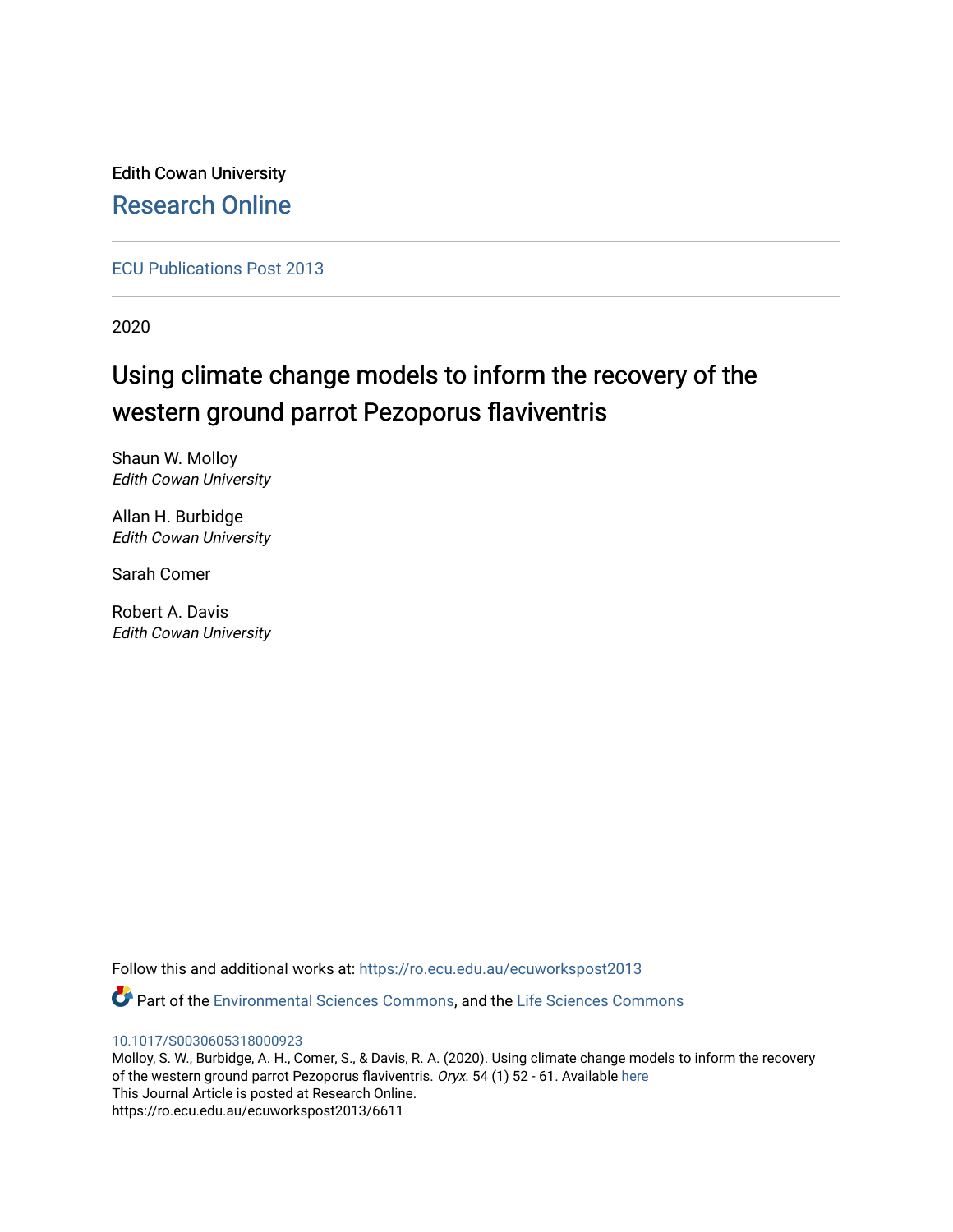Edith Cowan University [Research Online](https://ro.ecu.edu.au/) 

[ECU Publications Post 2013](https://ro.ecu.edu.au/ecuworkspost2013)

2020

# Using climate change models to inform the recovery of the western ground parrot Pezoporus flaviventris

Shaun W. Molloy Edith Cowan University

Allan H. Burbidge Edith Cowan University

Sarah Comer

Robert A. Davis Edith Cowan University

Follow this and additional works at: [https://ro.ecu.edu.au/ecuworkspost2013](https://ro.ecu.edu.au/ecuworkspost2013?utm_source=ro.ecu.edu.au%2Fecuworkspost2013%2F6611&utm_medium=PDF&utm_campaign=PDFCoverPages) 

Part of the [Environmental Sciences Commons](http://network.bepress.com/hgg/discipline/167?utm_source=ro.ecu.edu.au%2Fecuworkspost2013%2F6611&utm_medium=PDF&utm_campaign=PDFCoverPages), and the [Life Sciences Commons](http://network.bepress.com/hgg/discipline/1016?utm_source=ro.ecu.edu.au%2Fecuworkspost2013%2F6611&utm_medium=PDF&utm_campaign=PDFCoverPages) 

[10.1017/S0030605318000923](http://dx.doi.org/10.1017/S0030605318000923) 

Molloy, S. W., Burbidge, A. H., Comer, S., & Davis, R. A. (2020). Using climate change models to inform the recovery of the western ground parrot Pezoporus flaviventris. Oryx. 54 (1) 52 - 61. Available [here](https://doi.org/10.1017/S0030605318000923)  This Journal Article is posted at Research Online. https://ro.ecu.edu.au/ecuworkspost2013/6611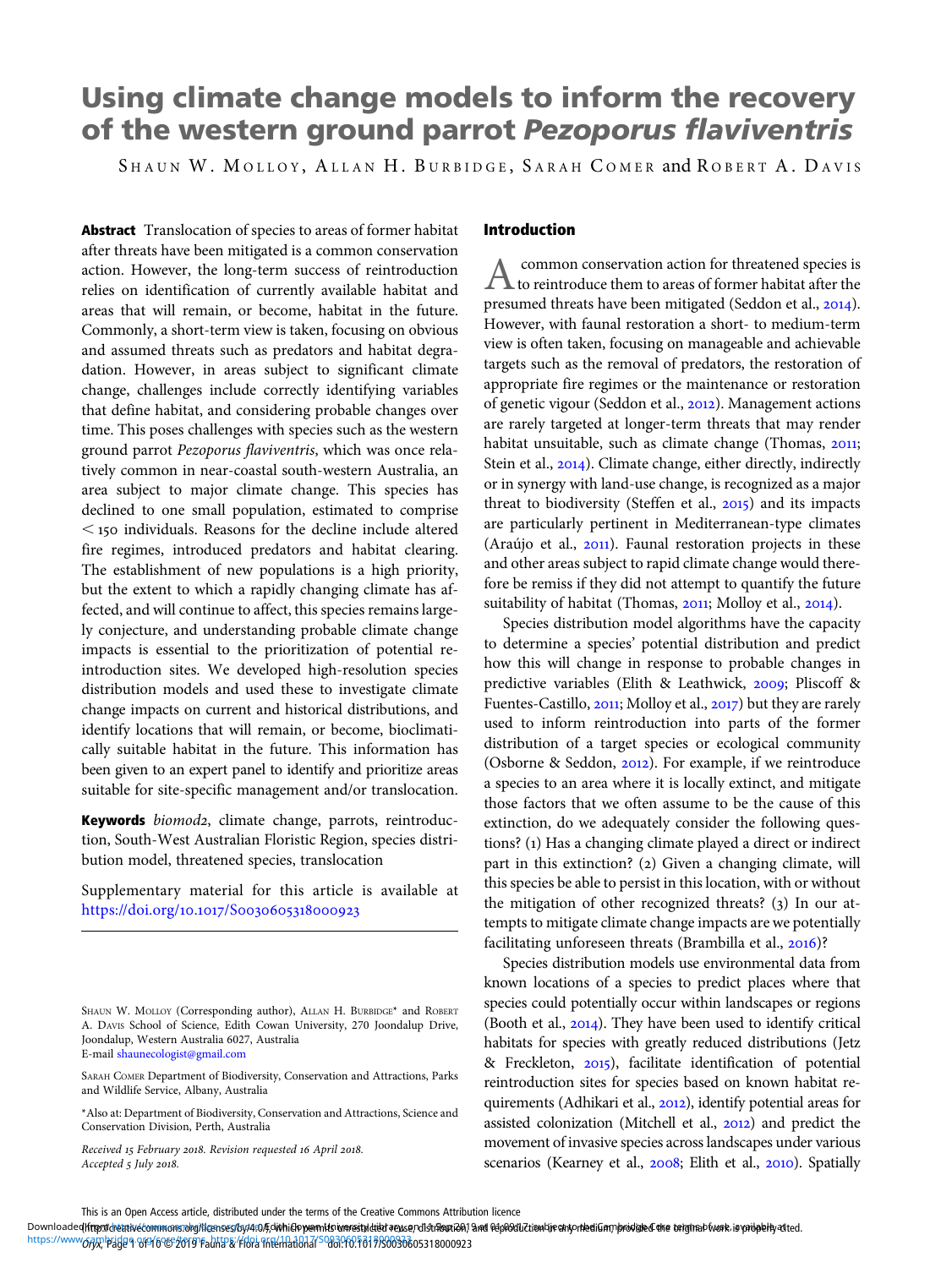# Using climate change models to inform the recovery of the western ground parrot Pezoporus flaviventris

SHAUN W. MOLLOY, ALLAN H. BURBIDGE, SARAH COMER and ROBERT A. DAVIS

Abstract Translocation of species to areas of former habitat after threats have been mitigated is a common conservation action. However, the long-term success of reintroduction relies on identification of currently available habitat and areas that will remain, or become, habitat in the future. Commonly, a short-term view is taken, focusing on obvious and assumed threats such as predators and habitat degradation. However, in areas subject to significant climate change, challenges include correctly identifying variables that define habitat, and considering probable changes over time. This poses challenges with species such as the western ground parrot Pezoporus flaviventris, which was once relatively common in near-coastal south-western Australia, an area subject to major climate change. This species has declined to one small population, estimated to comprise  $<$  150 individuals. Reasons for the decline include altered fire regimes, introduced predators and habitat clearing. The establishment of new populations is a high priority, but the extent to which a rapidly changing climate has affected, and will continue to affect, this species remains largely conjecture, and understanding probable climate change impacts is essential to the prioritization of potential reintroduction sites. We developed high-resolution species distribution models and used these to investigate climate change impacts on current and historical distributions, and identify locations that will remain, or become, bioclimatically suitable habitat in the future. This information has been given to an expert panel to identify and prioritize areas suitable for site-specific management and/or translocation.

Keywords biomod2, climate change, parrots, reintroduction, South-West Australian Floristic Region, species distribution model, threatened species, translocation

Supplementary material for this article is available at [https://](https://doi.org/10.1017/S0030605318000923)doi.org/10.1017/S0030605318000923

\*Also at: Department of Biodiversity, Conservation and Attractions, Science and Conservation Division, Perth, Australia

Received 15 February 2018. Revision requested 16 April 2018. Accepted 5 July 2018.

# Introduction

A common conservation action for threatened species is<br>to reintroduce them to areas of former habitat after the presumed threats have been mitigated (Seddon et al., 2014). However, with faunal restoration a short- to medium-term view is often taken, focusing on manageable and achievable targets such as the removal of predators, the restoration of appropriate fire regimes or the maintenance or restoration of genetic vigour (Seddon et al., 2012). Management actions are rarely targeted at longer-term threats that may render habitat unsuitable, such as climate change (Thomas, 2011; Stein et al., 2014). Climate change, either directly, indirectly or in synergy with land-use change, is recognized as a major threat to biodiversity (Steffen et al., 2015) and its impacts are particularly pertinent in Mediterranean-type climates (Araújo et al.,  $2011$ ). Faunal restoration projects in these and other areas subject to rapid climate change would therefore be remiss if they did not attempt to quantify the future suitability of habitat (Thomas, 2011; Molloy et al., 2014).

Species distribution model algorithms have the capacity to determine a species' potential distribution and predict how this will change in response to probable changes in predictive variables (Elith & Leathwick,  $2009$ ; Pliscoff & Fuentes-Castillo, 2011; Molloy et al., 2017) but they are rarely used to inform reintroduction into parts of the former distribution of a target species or ecological community (Osborne & Seddon, 2012). For example, if we reintroduce a species to an area where it is locally extinct, and mitigate those factors that we often assume to be the cause of this extinction, do we adequately consider the following questions? (1) Has a changing climate played a direct or indirect part in this extinction? (2) Given a changing climate, will this species be able to persist in this location, with or without the mitigation of other recognized threats? ( $3$ ) In our attempts to mitigate climate change impacts are we potentially facilitating unforeseen threats (Brambilla et al.,  $2016$ )?

Species distribution models use environmental data from known locations of a species to predict places where that species could potentially occur within landscapes or regions (Booth et al.,  $2014$ ). They have been used to identify critical habitats for species with greatly reduced distributions (Jetz & Freckleton, 2015), facilitate identification of potential reintroduction sites for species based on known habitat requirements (Adhikari et al., 2012), identify potential areas for assisted colonization (Mitchell et al., 2012) and predict the movement of invasive species across landscapes under various scenarios (Kearney et al., 2008; Elith et al., 2010). Spatially

https://www.cambridge9.849/6052019 Fauntps://doi.9rg/10.1017/S00306053180030605318000923

SHAUN W. MOLLOY (Corresponding author), ALLAN H. BURBIDGE\* and ROBERT A. DAVIS School of Science, Edith Cowan University, 270 Joondalup Drive, Joondalup, Western Australia 6027, Australia E-mail [shaunecologist@gmail.com](mailto:shaunecologist@gmail.com)

SARAH COMER Department of Biodiversity, Conservation and Attractions, Parks and Wildlife Service, Albany, Australia

This is an Open Access article, distributed under the terms of the Creative Commons Attribution licence

Downloaded|fftp:Mdreativécommons:org/licenses/by/4s0/f/dwhidopennitsiversityIdted1expse/distributen31and PdpAbdLicionAirenhynlediGnmprovided the triginablwsk.isvationHyadted.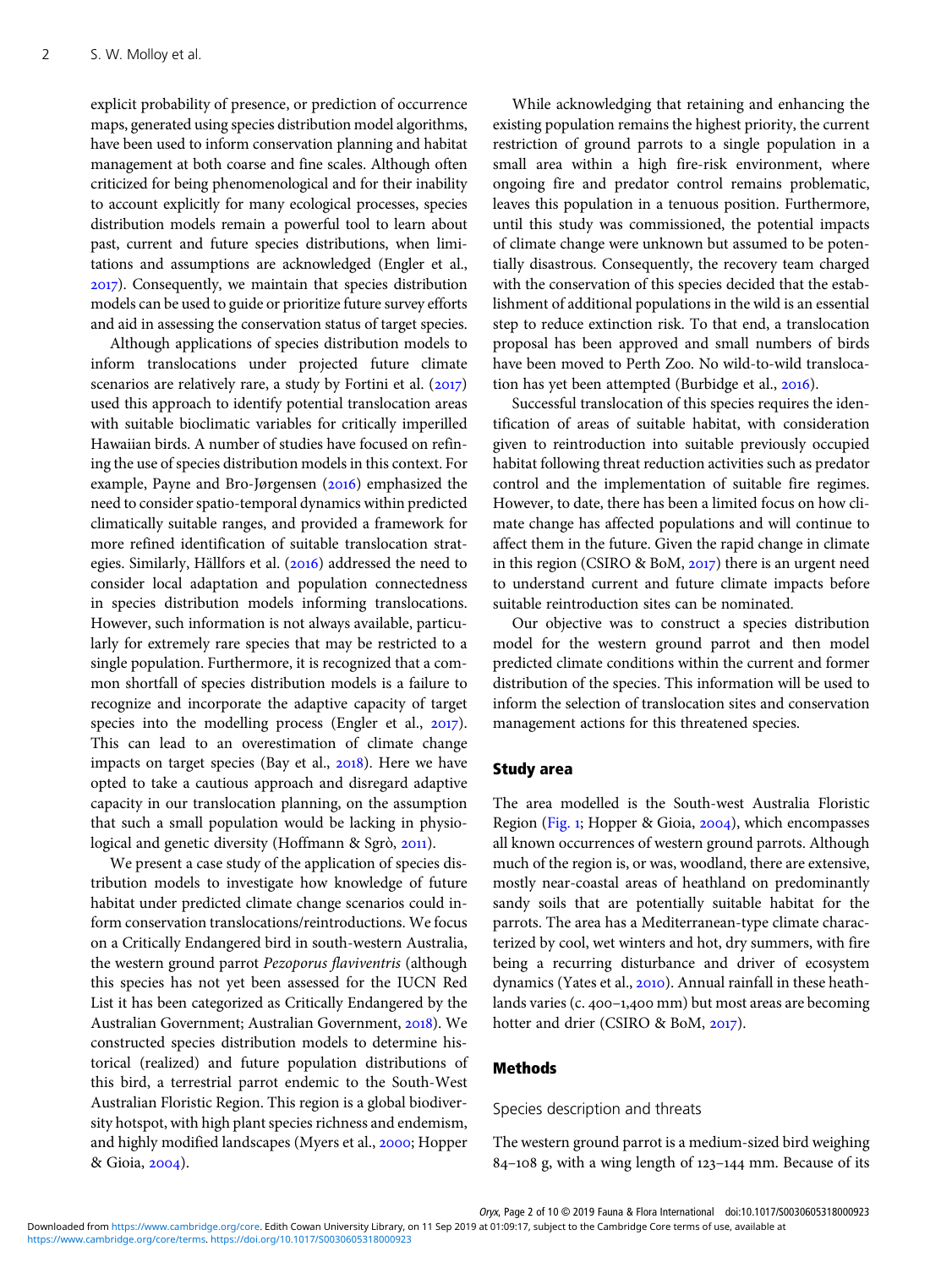explicit probability of presence, or prediction of occurrence maps, generated using species distribution model algorithms, have been used to inform conservation planning and habitat management at both coarse and fine scales. Although often criticized for being phenomenological and for their inability to account explicitly for many ecological processes, species distribution models remain a powerful tool to learn about past, current and future species distributions, when limitations and assumptions are acknowledged (Engler et al., ). Consequently, we maintain that species distribution models can be used to guide or prioritize future survey efforts and aid in assessing the conservation status of target species.

Although applications of species distribution models to inform translocations under projected future climate scenarios are relatively rare, a study by Fortini et al.  $(2017)$ used this approach to identify potential translocation areas with suitable bioclimatic variables for critically imperilled Hawaiian birds. A number of studies have focused on refining the use of species distribution models in this context. For example, Payne and Bro-Jørgensen  $(2016)$  emphasized the need to consider spatio-temporal dynamics within predicted climatically suitable ranges, and provided a framework for more refined identification of suitable translocation strategies. Similarly, Hällfors et al.  $(2016)$  addressed the need to consider local adaptation and population connectedness in species distribution models informing translocations. However, such information is not always available, particularly for extremely rare species that may be restricted to a single population. Furthermore, it is recognized that a common shortfall of species distribution models is a failure to recognize and incorporate the adaptive capacity of target species into the modelling process (Engler et al.,  $2017$ ). This can lead to an overestimation of climate change impacts on target species (Bay et al.,  $2018$ ). Here we have opted to take a cautious approach and disregard adaptive capacity in our translocation planning, on the assumption that such a small population would be lacking in physiological and genetic diversity (Hoffmann & Sgrò, 2011).

We present a case study of the application of species distribution models to investigate how knowledge of future habitat under predicted climate change scenarios could inform conservation translocations/reintroductions. We focus on a Critically Endangered bird in south-western Australia, the western ground parrot Pezoporus flaviventris (although this species has not yet been assessed for the IUCN Red List it has been categorized as Critically Endangered by the Australian Government; Australian Government, 2018). We constructed species distribution models to determine historical (realized) and future population distributions of this bird, a terrestrial parrot endemic to the South-West Australian Floristic Region. This region is a global biodiversity hotspot, with high plant species richness and endemism, and highly modified landscapes (Myers et al., 2000; Hopper & Gioia, 2004).

While acknowledging that retaining and enhancing the existing population remains the highest priority, the current restriction of ground parrots to a single population in a small area within a high fire-risk environment, where ongoing fire and predator control remains problematic, leaves this population in a tenuous position. Furthermore, until this study was commissioned, the potential impacts of climate change were unknown but assumed to be potentially disastrous. Consequently, the recovery team charged with the conservation of this species decided that the establishment of additional populations in the wild is an essential step to reduce extinction risk. To that end, a translocation proposal has been approved and small numbers of birds have been moved to Perth Zoo. No wild-to-wild translocation has yet been attempted (Burbidge et al.,  $2016$ ).

Successful translocation of this species requires the identification of areas of suitable habitat, with consideration given to reintroduction into suitable previously occupied habitat following threat reduction activities such as predator control and the implementation of suitable fire regimes. However, to date, there has been a limited focus on how climate change has affected populations and will continue to affect them in the future. Given the rapid change in climate in this region (CSIRO & BoM,  $2017$ ) there is an urgent need to understand current and future climate impacts before suitable reintroduction sites can be nominated.

Our objective was to construct a species distribution model for the western ground parrot and then model predicted climate conditions within the current and former distribution of the species. This information will be used to inform the selection of translocation sites and conservation management actions for this threatened species.

#### Study area

The area modelled is the South-west Australia Floristic Region [\(Fig.](#page-3-0) 1; Hopper & Gioia,  $2004$ ), which encompasses all known occurrences of western ground parrots. Although much of the region is, or was, woodland, there are extensive, mostly near-coastal areas of heathland on predominantly sandy soils that are potentially suitable habitat for the parrots. The area has a Mediterranean-type climate characterized by cool, wet winters and hot, dry summers, with fire being a recurring disturbance and driver of ecosystem dynamics (Yates et al., 2010). Annual rainfall in these heathlands varies (c. 400-1,400 mm) but most areas are becoming hotter and drier (CSIRO & BoM, 2017).

# Methods

#### Species description and threats

The western ground parrot is a medium-sized bird weighing  $84-108$  g, with a wing length of  $123-144$  mm. Because of its

Oryx, Page 2 of 10 © 2019 Fauna & Flora International doi:10.1017/S0030605318000923 [https://www.cambridge.org/core/terms.](https://www.cambridge.org/core/terms) <https://doi.org/10.1017/S0030605318000923> Downloaded from [https://www.cambridge.org/core.](https://www.cambridge.org/core) Edith Cowan University Library, on 11 Sep 2019 at 01:09:17, subject to the Cambridge Core terms of use, available at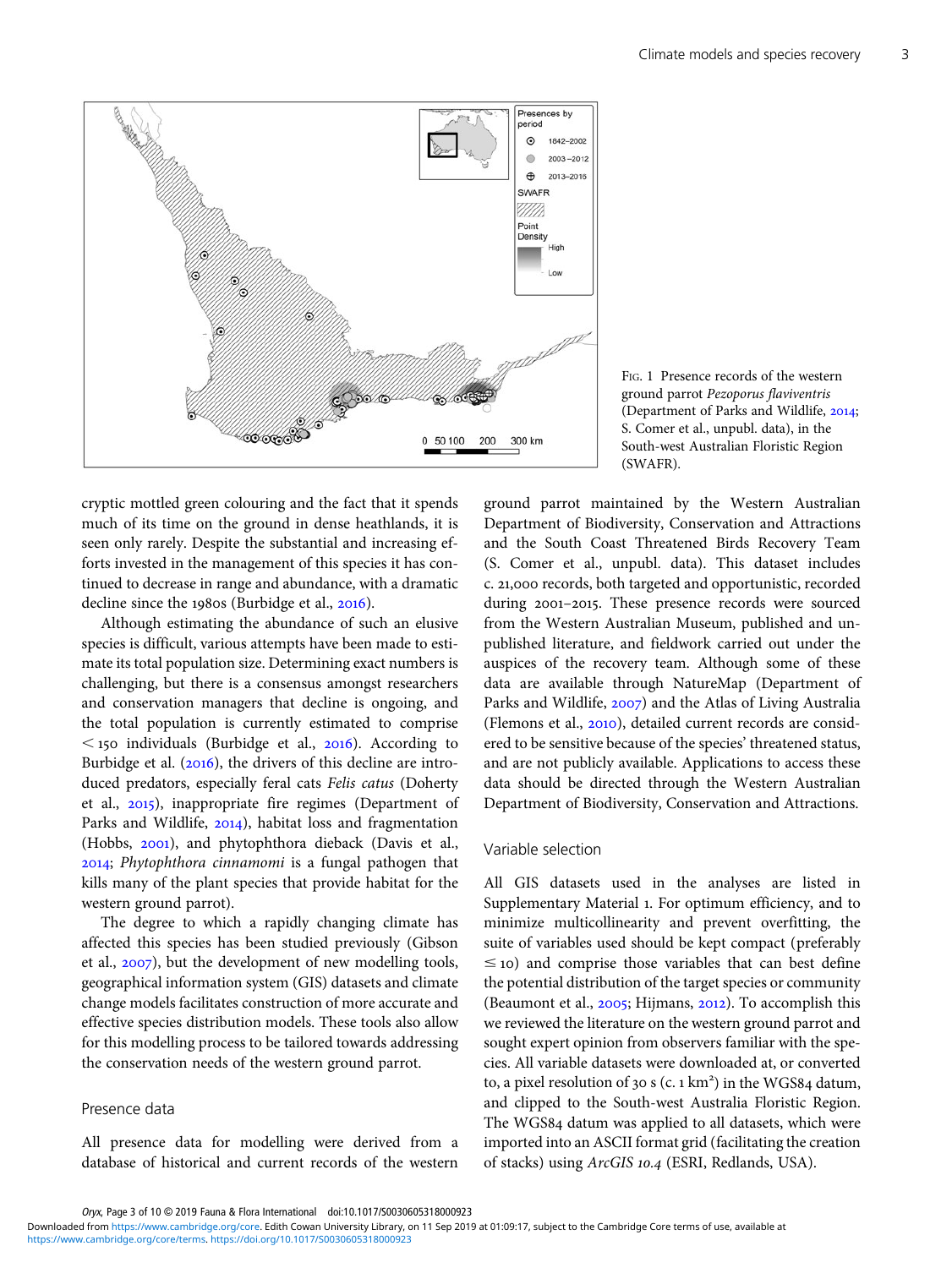<span id="page-3-0"></span>

FIG. 1 Presence records of the western ground parrot Pezoporus flaviventris (Department of Parks and Wildlife, 2014; S. Comer et al., unpubl. data), in the South-west Australian Floristic Region (SWAFR).

cryptic mottled green colouring and the fact that it spends much of its time on the ground in dense heathlands, it is seen only rarely. Despite the substantial and increasing efforts invested in the management of this species it has continued to decrease in range and abundance, with a dramatic decline since the  $1980s$  (Burbidge et al.,  $2016$ ).

Although estimating the abundance of such an elusive species is difficult, various attempts have been made to estimate its total population size. Determining exact numbers is challenging, but there is a consensus amongst researchers and conservation managers that decline is ongoing, and the total population is currently estimated to comprise  $\le$  150 individuals (Burbidge et al., 2016). According to Burbidge et al.  $(2016)$ , the drivers of this decline are introduced predators, especially feral cats Felis catus (Doherty et al., 2015), inappropriate fire regimes (Department of Parks and Wildlife,  $2014$ ), habitat loss and fragmentation (Hobbs, 2001), and phytophthora dieback (Davis et al., 2014; Phytophthora cinnamomi is a fungal pathogen that kills many of the plant species that provide habitat for the western ground parrot).

The degree to which a rapidly changing climate has affected this species has been studied previously (Gibson et al., 2007), but the development of new modelling tools, geographical information system (GIS) datasets and climate change models facilitates construction of more accurate and effective species distribution models. These tools also allow for this modelling process to be tailored towards addressing the conservation needs of the western ground parrot.

## Presence data

All presence data for modelling were derived from a database of historical and current records of the western

ground parrot maintained by the Western Australian Department of Biodiversity, Conservation and Attractions and the South Coast Threatened Birds Recovery Team (S. Comer et al., unpubl. data). This dataset includes c. 21,000 records, both targeted and opportunistic, recorded during 2001-2015. These presence records were sourced from the Western Australian Museum, published and unpublished literature, and fieldwork carried out under the auspices of the recovery team. Although some of these data are available through NatureMap (Department of Parks and Wildlife, 2007) and the Atlas of Living Australia (Flemons et al., 2010), detailed current records are considered to be sensitive because of the species' threatened status, and are not publicly available. Applications to access these data should be directed through the Western Australian Department of Biodiversity, Conservation and Attractions.

### Variable selection

All GIS datasets used in the analyses are listed in Supplementary Material 1. For optimum efficiency, and to minimize multicollinearity and prevent overfitting, the suite of variables used should be kept compact (preferably  $\leq$  10) and comprise those variables that can best define the potential distribution of the target species or community (Beaumont et al.,  $2005$ ; Hijmans,  $2012$ ). To accomplish this we reviewed the literature on the western ground parrot and sought expert opinion from observers familiar with the species. All variable datasets were downloaded at, or converted to, a pixel resolution of  $30 s$  (c.  $1 km<sup>2</sup>$ ) in the WGS84 datum, and clipped to the South-west Australia Floristic Region. The WGS84 datum was applied to all datasets, which were imported into an ASCII format grid (facilitating the creation of stacks) using ArcGIS 10.4 (ESRI, Redlands, USA).

Oryx, Page 3 of 10 © 2019 Fauna & Flora International doi:10.1017/S0030605318000923

[https://www.cambridge.org/core/terms.](https://www.cambridge.org/core/terms) <https://doi.org/10.1017/S0030605318000923> Downloaded from [https://www.cambridge.org/core.](https://www.cambridge.org/core) Edith Cowan University Library, on 11 Sep 2019 at 01:09:17, subject to the Cambridge Core terms of use, available at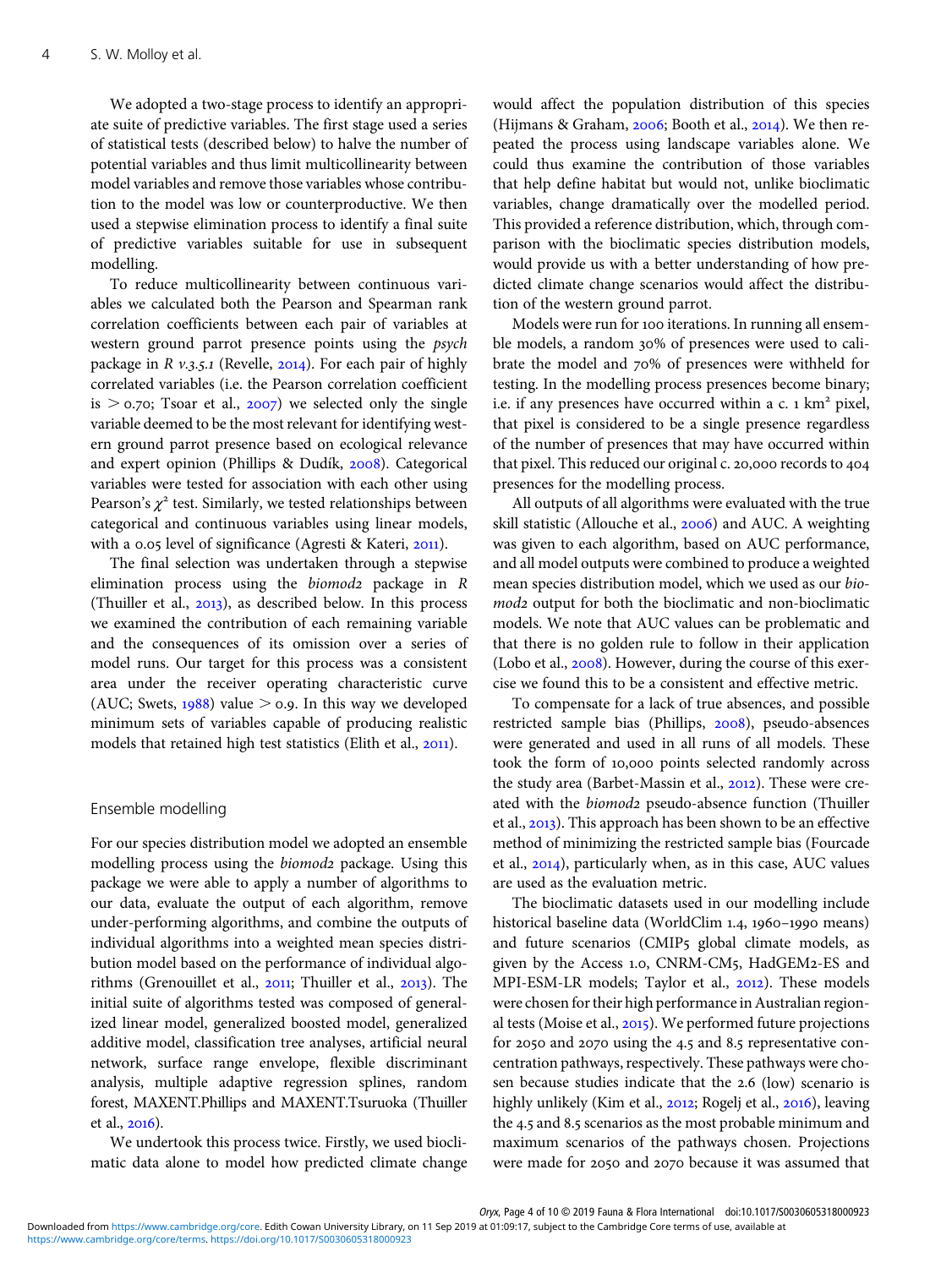We adopted a two-stage process to identify an appropriate suite of predictive variables. The first stage used a series of statistical tests (described below) to halve the number of potential variables and thus limit multicollinearity between model variables and remove those variables whose contribution to the model was low or counterproductive. We then used a stepwise elimination process to identify a final suite of predictive variables suitable for use in subsequent modelling.

To reduce multicollinearity between continuous variables we calculated both the Pearson and Spearman rank correlation coefficients between each pair of variables at western ground parrot presence points using the psych package in  $R$  v.3.5.1 (Revelle, 2014). For each pair of highly correlated variables (i.e. the Pearson correlation coefficient is  $>$  0.70; Tsoar et al., 2007) we selected only the single variable deemed to be the most relevant for identifying western ground parrot presence based on ecological relevance and expert opinion (Phillips & Dudík,  $2008$ ). Categorical variables were tested for association with each other using Pearson's  $\chi^2$  test. Similarly, we tested relationships between categorical and continuous variables using linear models, with a  $0.05$  level of significance (Agresti & Kateri, 2011).

The final selection was undertaken through a stepwise elimination process using the  $biomodz$  package in  $R$ (Thuiller et al.,  $2013$ ), as described below. In this process we examined the contribution of each remaining variable and the consequences of its omission over a series of model runs. Our target for this process was a consistent area under the receiver operating characteristic curve (AUC; Swets,  $1988$ ) value  $> 0.9$ . In this way we developed minimum sets of variables capable of producing realistic models that retained high test statistics (Elith et al., 2011).

#### Ensemble modelling

For our species distribution model we adopted an ensemble modelling process using the biomod2 package. Using this package we were able to apply a number of algorithms to our data, evaluate the output of each algorithm, remove under-performing algorithms, and combine the outputs of individual algorithms into a weighted mean species distribution model based on the performance of individual algorithms (Grenouillet et al., 2011; Thuiller et al., 2013). The initial suite of algorithms tested was composed of generalized linear model, generalized boosted model, generalized additive model, classification tree analyses, artificial neural network, surface range envelope, flexible discriminant analysis, multiple adaptive regression splines, random forest, MAXENT.Phillips and MAXENT.Tsuruoka (Thuiller et al., 2016).

We undertook this process twice. Firstly, we used bioclimatic data alone to model how predicted climate change

would affect the population distribution of this species (Hijmans & Graham,  $2006$ ; Booth et al.,  $2014$ ). We then repeated the process using landscape variables alone. We could thus examine the contribution of those variables that help define habitat but would not, unlike bioclimatic variables, change dramatically over the modelled period. This provided a reference distribution, which, through comparison with the bioclimatic species distribution models, would provide us with a better understanding of how predicted climate change scenarios would affect the distribution of the western ground parrot.

Models were run for 100 iterations. In running all ensemble models, a random 30% of presences were used to calibrate the model and 70% of presences were withheld for testing. In the modelling process presences become binary; i.e. if any presences have occurred within a c.  $1 \text{ km}^2$  pixel, that pixel is considered to be a single presence regardless of the number of presences that may have occurred within that pixel. This reduced our original c. 20,000 records to 404 presences for the modelling process.

All outputs of all algorithms were evaluated with the true skill statistic (Allouche et al.,  $2006$ ) and AUC. A weighting was given to each algorithm, based on AUC performance, and all model outputs were combined to produce a weighted mean species distribution model, which we used as our biomod<sub>2</sub> output for both the bioclimatic and non-bioclimatic models. We note that AUC values can be problematic and that there is no golden rule to follow in their application (Lobo et al.,  $2008$ ). However, during the course of this exercise we found this to be a consistent and effective metric.

To compensate for a lack of true absences, and possible restricted sample bias (Phillips, 2008), pseudo-absences were generated and used in all runs of all models. These took the form of 10,000 points selected randomly across the study area (Barbet-Massin et al., 2012). These were created with the *biomod2* pseudo-absence function (Thuiller et al.,  $2013$ ). This approach has been shown to be an effective method of minimizing the restricted sample bias (Fourcade et al.,  $2014$ ), particularly when, as in this case, AUC values are used as the evaluation metric.

The bioclimatic datasets used in our modelling include historical baseline data (WorldClim 1.4, 1960-1990 means) and future scenarios (CMIP5 global climate models, as given by the Access 1.0, CNRM-CM5, HadGEM2-ES and MPI-ESM-LR models; Taylor et al., 2012). These models were chosen for their high performance in Australian regional tests (Moise et al., 2015). We performed future projections for 2050 and 2070 using the 4.5 and 8.5 representative concentration pathways, respectively. These pathways were chosen because studies indicate that the 2.6 (low) scenario is highly unlikely (Kim et al., 2012; Rogelj et al., 2016), leaving the 4.5 and 8.5 scenarios as the most probable minimum and maximum scenarios of the pathways chosen. Projections were made for 2050 and 2070 because it was assumed that

Oryx, Page 4 of 10 © 2019 Fauna & Flora International doi:10.1017/S0030605318000923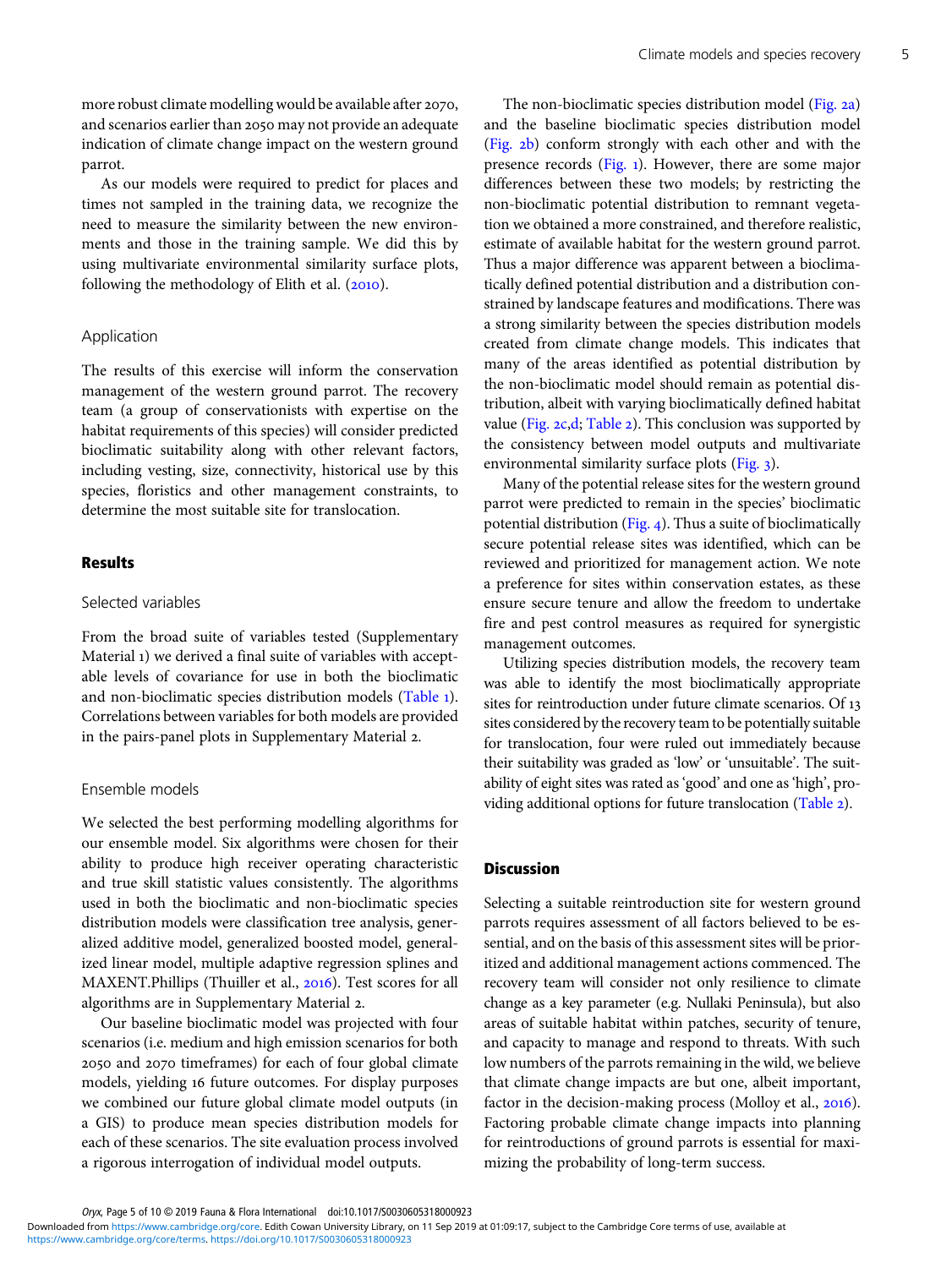more robust climate modelling would be available after 2070, and scenarios earlier than 2050 may not provide an adequate indication of climate change impact on the western ground parrot.

As our models were required to predict for places and times not sampled in the training data, we recognize the need to measure the similarity between the new environments and those in the training sample. We did this by using multivariate environmental similarity surface plots, following the methodology of Elith et al.  $(2010)$ .

### Application

The results of this exercise will inform the conservation management of the western ground parrot. The recovery team (a group of conservationists with expertise on the habitat requirements of this species) will consider predicted bioclimatic suitability along with other relevant factors, including vesting, size, connectivity, historical use by this species, floristics and other management constraints, to determine the most suitable site for translocation.

# Results

## Selected variables

From the broad suite of variables tested (Supplementary Material 1) we derived a final suite of variables with acceptable levels of covariance for use in both the bioclimatic and non-bioclimatic species distribution models [\(Table](#page-6-0) ). Correlations between variables for both models are provided in the pairs-panel plots in Supplementary Material 2.

### Ensemble models

We selected the best performing modelling algorithms for our ensemble model. Six algorithms were chosen for their ability to produce high receiver operating characteristic and true skill statistic values consistently. The algorithms used in both the bioclimatic and non-bioclimatic species distribution models were classification tree analysis, generalized additive model, generalized boosted model, generalized linear model, multiple adaptive regression splines and MAXENT.Phillips (Thuiller et al., 2016). Test scores for all algorithms are in Supplementary Material 2.

Our baseline bioclimatic model was projected with four scenarios (i.e. medium and high emission scenarios for both 2050 and 2070 timeframes) for each of four global climate models, yielding 16 future outcomes. For display purposes we combined our future global climate model outputs (in a GIS) to produce mean species distribution models for each of these scenarios. The site evaluation process involved a rigorous interrogation of individual model outputs.

The non-bioclimatic species distribution model [\(Fig.](#page-6-0) 2a) and the baseline bioclimatic species distribution model [\(Fig.](#page-6-0) b) conform strongly with each other and with the presence records ([Fig.](#page-3-0) ). However, there are some major differences between these two models; by restricting the non-bioclimatic potential distribution to remnant vegetation we obtained a more constrained, and therefore realistic, estimate of available habitat for the western ground parrot. Thus a major difference was apparent between a bioclimatically defined potential distribution and a distribution constrained by landscape features and modifications. There was a strong similarity between the species distribution models created from climate change models. This indicates that many of the areas identified as potential distribution by the non-bioclimatic model should remain as potential distribution, albeit with varying bioclimatically defined habitat value [\(Fig.](#page-6-0)  $2c, d$ ; [Table](#page-7-0)  $2$ ). This conclusion was supported by the consistency between model outputs and multivariate environmental similarity surface plots ([Fig.](#page-7-0) 3).

Many of the potential release sites for the western ground parrot were predicted to remain in the species' bioclimatic potential distribution [\(Fig.](#page-8-0)  $4$ ). Thus a suite of bioclimatically secure potential release sites was identified, which can be reviewed and prioritized for management action. We note a preference for sites within conservation estates, as these ensure secure tenure and allow the freedom to undertake fire and pest control measures as required for synergistic management outcomes.

Utilizing species distribution models, the recovery team was able to identify the most bioclimatically appropriate sites for reintroduction under future climate scenarios. Of 13 sites considered by the recovery team to be potentially suitable for translocation, four were ruled out immediately because their suitability was graded as 'low' or 'unsuitable'. The suitability of eight sites was rated as 'good' and one as 'high', pro-viding additional options for future translocation ([Table](#page-7-0) 2).

## Discussion

Selecting a suitable reintroduction site for western ground parrots requires assessment of all factors believed to be essential, and on the basis of this assessment sites will be prioritized and additional management actions commenced. The recovery team will consider not only resilience to climate change as a key parameter (e.g. Nullaki Peninsula), but also areas of suitable habitat within patches, security of tenure, and capacity to manage and respond to threats. With such low numbers of the parrots remaining in the wild, we believe that climate change impacts are but one, albeit important, factor in the decision-making process (Molloy et al., 2016). Factoring probable climate change impacts into planning for reintroductions of ground parrots is essential for maximizing the probability of long-term success.

Oryx, Page 5 of 10 © 2019 Fauna & Flora International doi:10.1017/S0030605318000923

[https://www.cambridge.org/core/terms.](https://www.cambridge.org/core/terms) <https://doi.org/10.1017/S0030605318000923> Downloaded from [https://www.cambridge.org/core.](https://www.cambridge.org/core) Edith Cowan University Library, on 11 Sep 2019 at 01:09:17, subject to the Cambridge Core terms of use, available at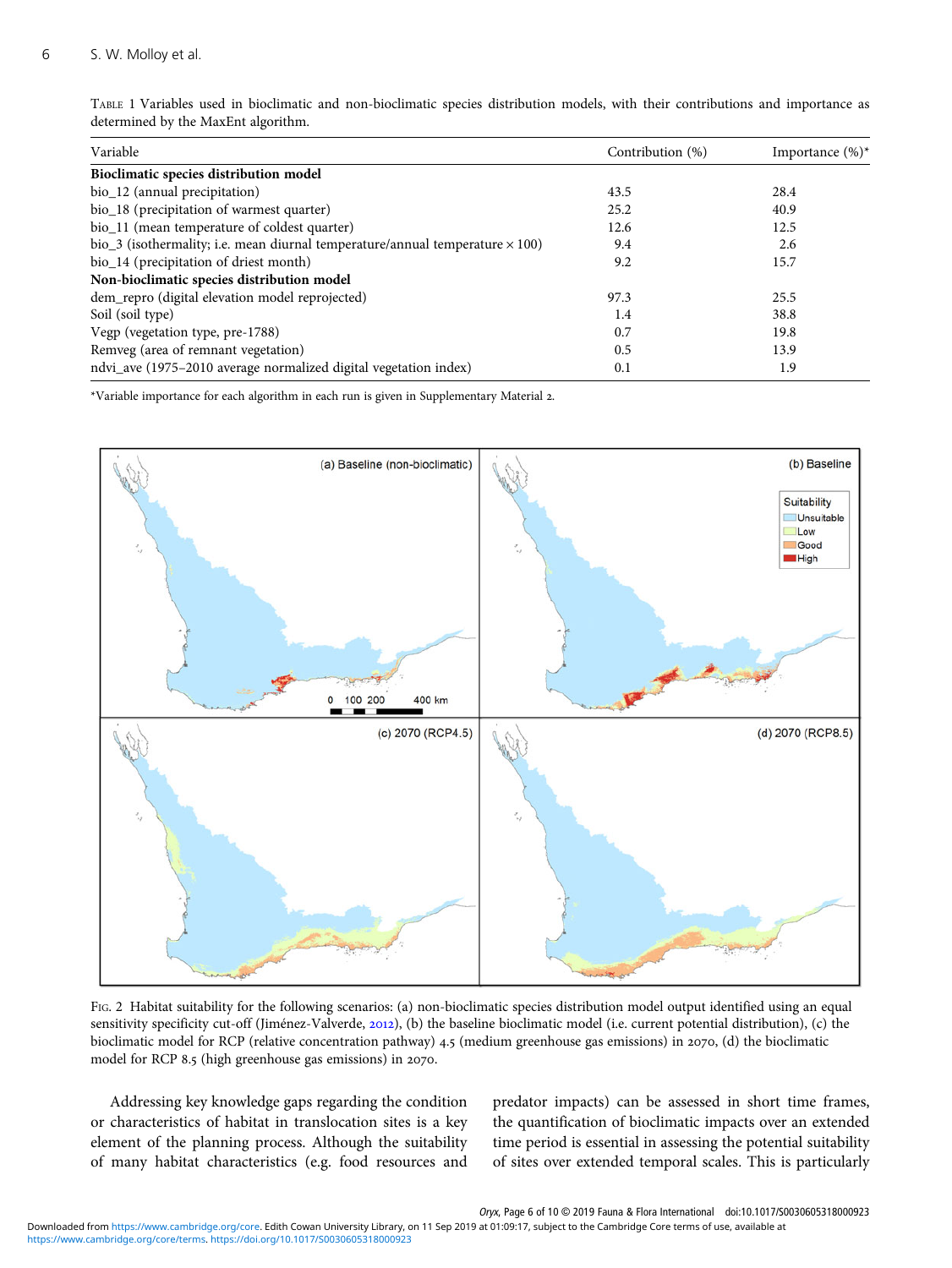<span id="page-6-0"></span>TABLE 1 Variables used in bioclimatic and non-bioclimatic species distribution models, with their contributions and importance as determined by the MaxEnt algorithm.

| Variable                                                                             | Contribution (%) | Importance $(\%)^*$ |  |
|--------------------------------------------------------------------------------------|------------------|---------------------|--|
| Bioclimatic species distribution model                                               |                  |                     |  |
| bio_12 (annual precipitation)                                                        | 43.5             | 28.4                |  |
| bio_18 (precipitation of warmest quarter)                                            | 25.2             | 40.9                |  |
| bio_11 (mean temperature of coldest quarter)                                         | 12.6             | 12.5                |  |
| bio_3 (isothermality; i.e. mean diurnal temperature/annual temperature $\times$ 100) | 9.4              | 2.6                 |  |
| bio 14 (precipitation of driest month)                                               | 9.2              | 15.7                |  |
| Non-bioclimatic species distribution model                                           |                  |                     |  |
| dem_repro (digital elevation model reprojected)                                      | 97.3             | 25.5                |  |
| Soil (soil type)                                                                     | 1.4              | 38.8                |  |
| Vegp (vegetation type, pre-1788)                                                     | 0.7              | 19.8                |  |
| Remveg (area of remnant vegetation)                                                  | 0.5              | 13.9                |  |
| ndvi_ave (1975-2010 average normalized digital vegetation index)                     | 0.1              | 1.9                 |  |

\*Variable importance for each algorithm in each run is given in Supplementary Material 2.



FIG. 2 Habitat suitability for the following scenarios: (a) non-bioclimatic species distribution model output identified using an equal sensitivity specificity cut-off (Jiménez-Valverde, 2012), (b) the baseline bioclimatic model (i.e. current potential distribution), (c) the bioclimatic model for RCP (relative concentration pathway) 4.5 (medium greenhouse gas emissions) in 2070, (d) the bioclimatic model for RCP 8.5 (high greenhouse gas emissions) in 2070.

Addressing key knowledge gaps regarding the condition or characteristics of habitat in translocation sites is a key element of the planning process. Although the suitability of many habitat characteristics (e.g. food resources and predator impacts) can be assessed in short time frames, the quantification of bioclimatic impacts over an extended time period is essential in assessing the potential suitability of sites over extended temporal scales. This is particularly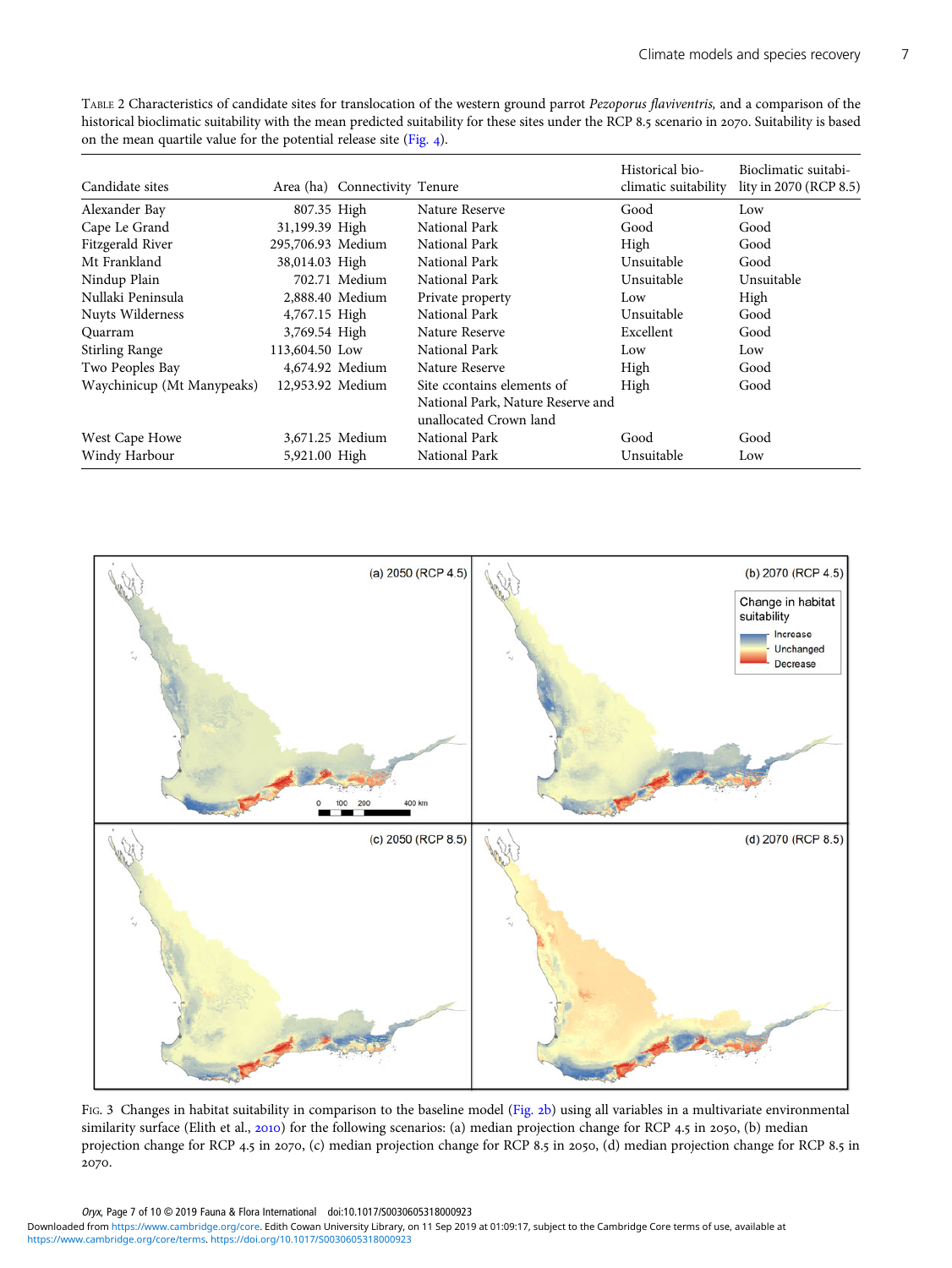<span id="page-7-0"></span>TABLE 2 Characteristics of candidate sites for translocation of the western ground parrot Pezoporus flaviventris, and a comparison of the historical bioclimatic suitability with the mean predicted suitability for these sites under the RCP 8.5 scenario in 2070. Suitability is based on the mean quartile value for the potential release site  $(Fig. 4)$  $(Fig. 4)$ .

| Candidate sites            |                   | Area (ha) Connectivity Tenure |                                                                                                           | Historical bio-<br>climatic suitability | Bioclimatic suitabi-<br>lity in 2070 (RCP 8.5) |  |
|----------------------------|-------------------|-------------------------------|-----------------------------------------------------------------------------------------------------------|-----------------------------------------|------------------------------------------------|--|
| Alexander Bay              | 807.35 High       |                               | Nature Reserve                                                                                            | Good                                    | Low                                            |  |
| Cape Le Grand              | 31,199.39 High    |                               | National Park                                                                                             | Good                                    | Good                                           |  |
| Fitzgerald River           | 295,706.93 Medium |                               | National Park                                                                                             | High                                    | Good                                           |  |
| Mt Frankland               | 38,014.03 High    |                               | National Park                                                                                             | Unsuitable                              | Good                                           |  |
| Nindup Plain               |                   | 702.71 Medium                 | National Park                                                                                             | Unsuitable                              | Unsuitable                                     |  |
| Nullaki Peninsula          |                   | 2,888.40 Medium               | Private property                                                                                          | Low                                     | High                                           |  |
| Nuyts Wilderness           | 4,767.15 High     |                               | National Park                                                                                             | Unsuitable                              | Good                                           |  |
| Quarram                    | 3,769.54 High     |                               | Nature Reserve                                                                                            | Excellent                               | Good                                           |  |
| <b>Stirling Range</b>      | 113,604.50 Low    |                               | National Park                                                                                             | Low                                     | Low                                            |  |
| Two Peoples Bay            |                   | 4,674.92 Medium               | Nature Reserve                                                                                            | High                                    | Good                                           |  |
| Waychinicup (Mt Manypeaks) | 12,953.92 Medium  |                               | Site ccontains elements of<br>High<br>Good<br>National Park, Nature Reserve and<br>unallocated Crown land |                                         |                                                |  |
| West Cape Howe             |                   | 3,671.25 Medium               | National Park                                                                                             | Good                                    | Good                                           |  |
| Windy Harbour              | 5,921.00 High     |                               | National Park                                                                                             | Unsuitable                              | Low                                            |  |



FIG. 3 Changes in habitat suitability in comparison to the baseline model ([Fig.](#page-6-0) 2b) using all variables in a multivariate environmental similarity surface (Elith et al.,  $2010$ ) for the following scenarios: (a) median projection change for RCP 4.5 in 2050, (b) median projection change for RCP 4.5 in 2070, (c) median projection change for RCP 8.5 in 2050, (d) median projection change for RCP 8.5 in 2070.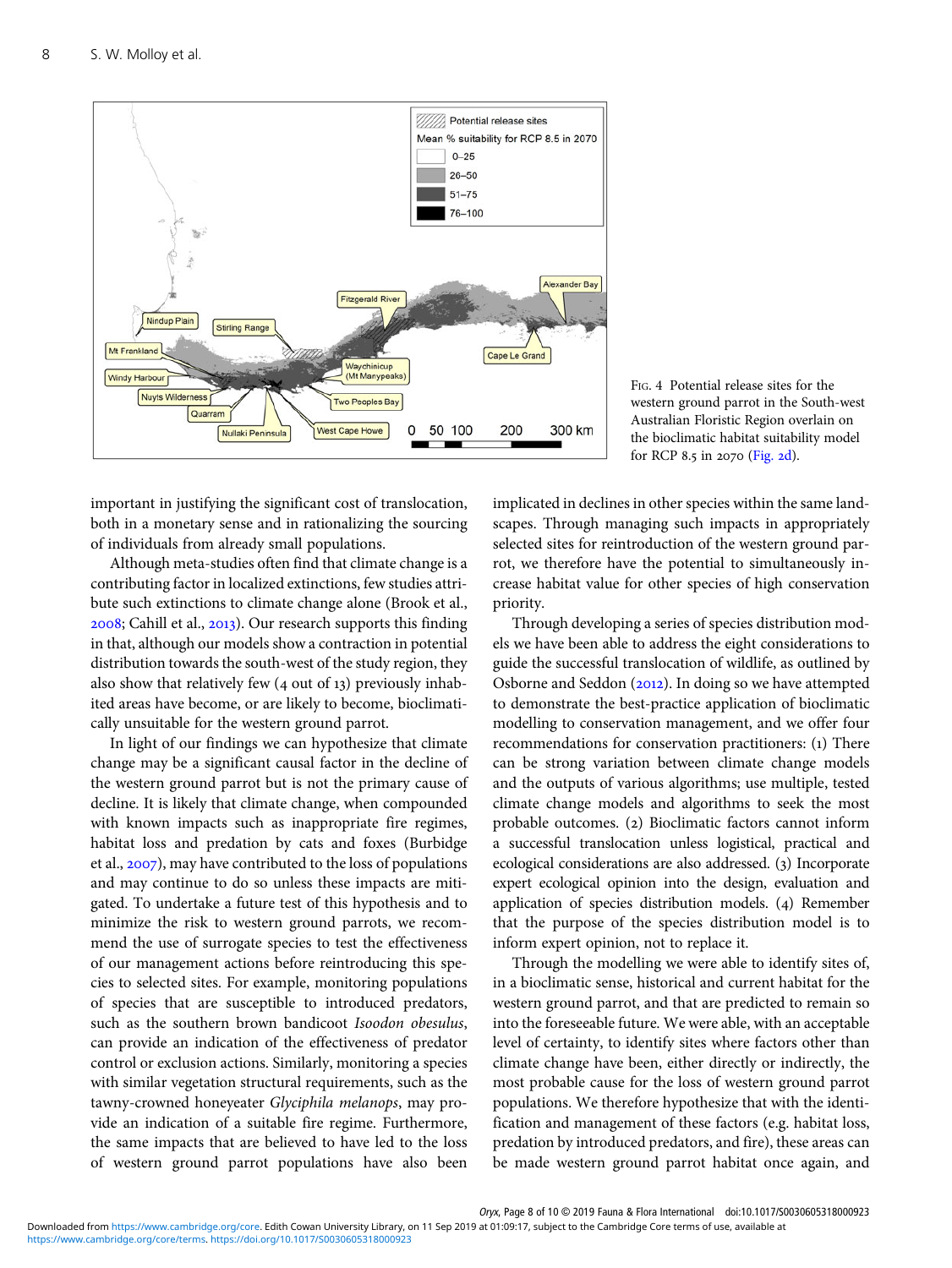<span id="page-8-0"></span>

FIG. 4 Potential release sites for the western ground parrot in the South-west Australian Floristic Region overlain on the bioclimatic habitat suitability model for RCP 8.5 in 2070 [\(Fig.](#page-6-0) 2d).

important in justifying the significant cost of translocation, both in a monetary sense and in rationalizing the sourcing of individuals from already small populations.

Although meta-studies often find that climate change is a contributing factor in localized extinctions, few studies attribute such extinctions to climate change alone (Brook et al.,  $2008$ ; Cahill et al.,  $2013$ ). Our research supports this finding in that, although our models show a contraction in potential distribution towards the south-west of the study region, they also show that relatively few  $(4 \text{ out of } 13)$  previously inhabited areas have become, or are likely to become, bioclimatically unsuitable for the western ground parrot.

In light of our findings we can hypothesize that climate change may be a significant causal factor in the decline of the western ground parrot but is not the primary cause of decline. It is likely that climate change, when compounded with known impacts such as inappropriate fire regimes, habitat loss and predation by cats and foxes (Burbidge et al.,  $2007$ ), may have contributed to the loss of populations and may continue to do so unless these impacts are mitigated. To undertake a future test of this hypothesis and to minimize the risk to western ground parrots, we recommend the use of surrogate species to test the effectiveness of our management actions before reintroducing this species to selected sites. For example, monitoring populations of species that are susceptible to introduced predators, such as the southern brown bandicoot Isoodon obesulus, can provide an indication of the effectiveness of predator control or exclusion actions. Similarly, monitoring a species with similar vegetation structural requirements, such as the tawny-crowned honeyeater Glyciphila melanops, may provide an indication of a suitable fire regime. Furthermore, the same impacts that are believed to have led to the loss of western ground parrot populations have also been

implicated in declines in other species within the same landscapes. Through managing such impacts in appropriately selected sites for reintroduction of the western ground parrot, we therefore have the potential to simultaneously increase habitat value for other species of high conservation priority.

Through developing a series of species distribution models we have been able to address the eight considerations to guide the successful translocation of wildlife, as outlined by Osborne and Seddon (2012). In doing so we have attempted to demonstrate the best-practice application of bioclimatic modelling to conservation management, and we offer four recommendations for conservation practitioners: (1) There can be strong variation between climate change models and the outputs of various algorithms; use multiple, tested climate change models and algorithms to seek the most probable outcomes. (2) Bioclimatic factors cannot inform a successful translocation unless logistical, practical and ecological considerations are also addressed. (3) Incorporate expert ecological opinion into the design, evaluation and application of species distribution models.  $(4)$  Remember that the purpose of the species distribution model is to inform expert opinion, not to replace it.

Through the modelling we were able to identify sites of, in a bioclimatic sense, historical and current habitat for the western ground parrot, and that are predicted to remain so into the foreseeable future. We were able, with an acceptable level of certainty, to identify sites where factors other than climate change have been, either directly or indirectly, the most probable cause for the loss of western ground parrot populations. We therefore hypothesize that with the identification and management of these factors (e.g. habitat loss, predation by introduced predators, and fire), these areas can be made western ground parrot habitat once again, and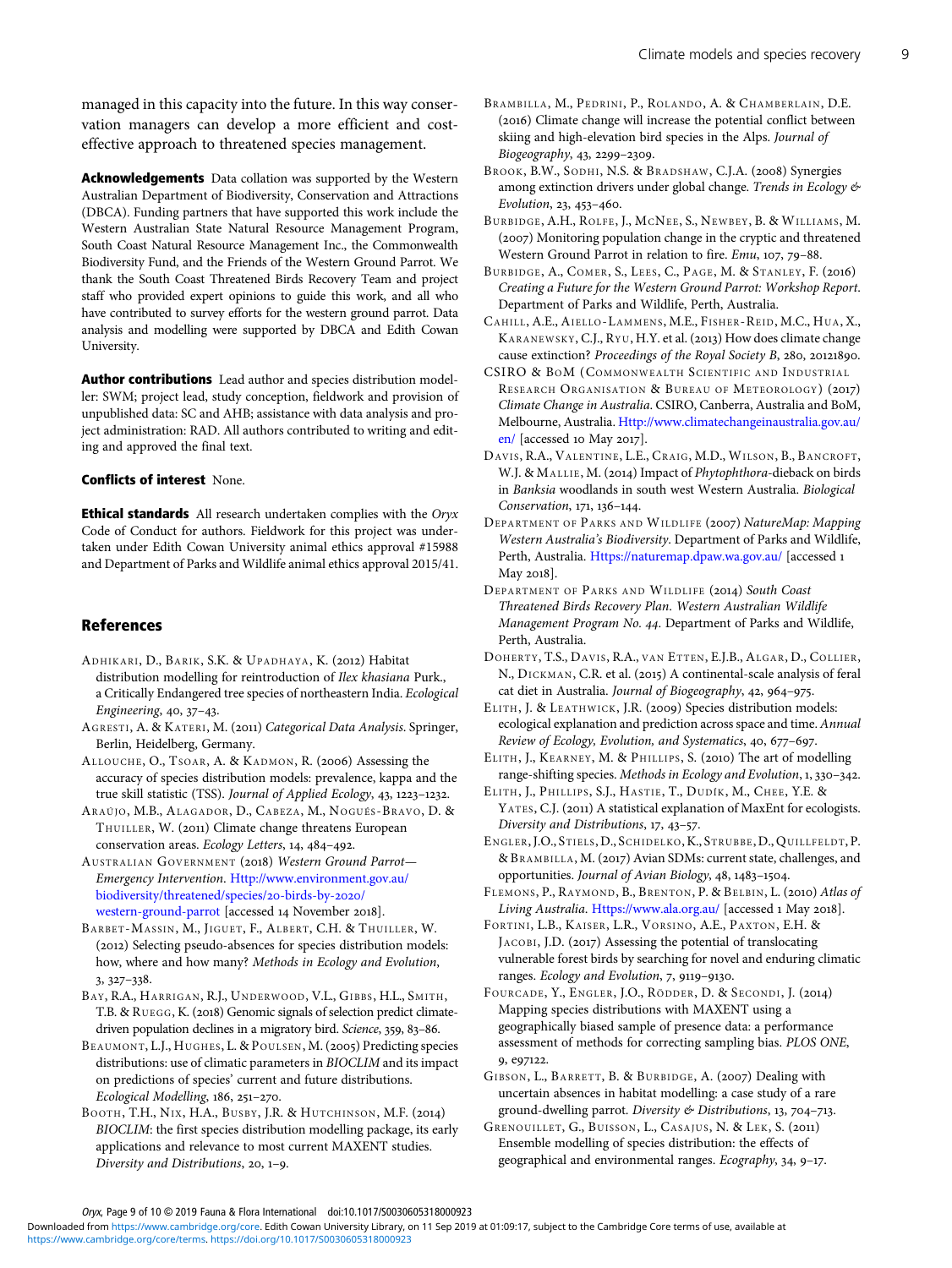<span id="page-9-0"></span>managed in this capacity into the future. In this way conservation managers can develop a more efficient and costeffective approach to threatened species management.

Acknowledgements Data collation was supported by the Western Australian Department of Biodiversity, Conservation and Attractions (DBCA). Funding partners that have supported this work include the Western Australian State Natural Resource Management Program, South Coast Natural Resource Management Inc., the Commonwealth Biodiversity Fund, and the Friends of the Western Ground Parrot. We thank the South Coast Threatened Birds Recovery Team and project staff who provided expert opinions to guide this work, and all who have contributed to survey efforts for the western ground parrot. Data analysis and modelling were supported by DBCA and Edith Cowan University.

Author contributions Lead author and species distribution modeller: SWM; project lead, study conception, fieldwork and provision of unpublished data: SC and AHB; assistance with data analysis and project administration: RAD. All authors contributed to writing and editing and approved the final text.

#### Conflicts of interest None.

Ethical standards All research undertaken complies with the Oryx Code of Conduct for authors. Fieldwork for this project was undertaken under Edith Cowan University animal ethics approval #15988 and Department of Parks and Wildlife animal ethics approval 2015/41.

#### References

- ADHIKARI, D., BARIK, S.K. & UPADHAYA, K. (2012) Habitat distribution modelling for reintroduction of Ilex khasiana Purk., a Critically Endangered tree species of northeastern India. Ecological  $Engineering, 40, 37-43.$
- AGRESTI, A. & KATERI, M. (2011) Categorical Data Analysis. Springer, Berlin, Heidelberg, Germany.
- ALLOUCHE, O., TSOAR, A. & KADMON, R. (2006) Assessing the accuracy of species distribution models: prevalence, kappa and the true skill statistic (TSS). Journal of Applied Ecology,  $43$ ,  $1223-1232$ .
- ARAÚJO, M.B., ALAGADOR, D., CABEZA, M., NOGUÉS ‐BRAVO, D. & THUILLER, W. (2011) Climate change threatens European conservation areas. Ecology Letters, 14, 484-492.
- AUSTRALIAN GOVERNMENT (2018) Western Ground Parrot-Emergency Intervention. [Http://www.environment.gov.au/](http://www.environment.gov.au/biodiversity/threatened/species/20-birds-by-2020/western-ground-parrot) [biodiversity/threatened/species/](http://www.environment.gov.au/biodiversity/threatened/species/20-birds-by-2020/western-ground-parrot)20-birds-by-2020/ [western-ground-parrot](http://www.environment.gov.au/biodiversity/threatened/species/20-birds-by-2020/western-ground-parrot) [accessed 14 November 2018].
- BARBET‐MASSIN, M., JIGUET, F., ALBERT, C.H. & THUILLER, W. (2012) Selecting pseudo-absences for species distribution models: how, where and how many? Methods in Ecology and Evolution,  $3, 327 - 338.$
- BAY, R.A., HARRIGAN, R.J., UNDERWOOD, V.L., GIBBS, H.L., SMITH, T.B. & RUEGG, K. (2018) Genomic signals of selection predict climatedriven population declines in a migratory bird. Science, 359, 83-86.
- BEAUMONT, L.J., HUGHES, L. & POULSEN, M. (2005) Predicting species distributions: use of climatic parameters in BIOCLIM and its impact on predictions of species' current and future distributions. Ecological Modelling, 186, 251-270.
- BOOTH, T.H., NIX, H.A., BUSBY, J.R. & HUTCHINSON, M.F. (2014) BIOCLIM: the first species distribution modelling package, its early applications and relevance to most current MAXENT studies. Diversity and Distributions,  $20, 1-9$ .
- BRAMBILLA, M., PEDRINI, P., ROLANDO, A. & CHAMBERLAIN, D.E. (2016) Climate change will increase the potential conflict between skiing and high‐elevation bird species in the Alps. Journal of Biogeography, 43, 2299-2309.
- BROOK, B.W., SODHI, N.S. & BRADSHAW, C.J.A. (2008) Synergies among extinction drivers under global change. Trends in Ecology & Evolution, 23, 453-460.
- BURBIDGE, A.H., ROLFE, J., MCNEE, S., NEWBEY, B. & WILLIAMS, M.  $(2007)$  Monitoring population change in the cryptic and threatened Western Ground Parrot in relation to fire. Emu, 107, 79-88.
- BURBIDGE, A., COMER, S., LEES, C., PAGE, M. & STANLEY, F. (2016) Creating a Future for the Western Ground Parrot: Workshop Report. Department of Parks and Wildlife, Perth, Australia.
- CAHILL, A.E., AIELLO-LAMMENS, M.E., FISHER-REID, M.C., HUA, X., KARANEWSKY, C.J., RYU, H.Y. et al. (2013) How does climate change cause extinction? Proceedings of the Royal Society B,  $280$ ,  $20121890$ .
- CSIRO & BOM (COMMONWEALTH SCIENTIFIC AND INDUSTRIAL RESEARCH ORGANISATION & BUREAU OF METEOROLOGY) (2017) Climate Change in Australia. CSIRO, Canberra, Australia and BoM, Melbourne, Australia. [Http://www.climatechangeinaustralia.gov.au/](http://www.climatechangeinaustralia.gov.au/en/) [en/](http://www.climatechangeinaustralia.gov.au/en/) [accessed 10 May 2017].
- DAVIS , R.A., VALENTINE, L.E., CRAIG, M.D., WILSON, B., BANCROFT, W.J. & MALLIE, M. (2014) Impact of Phytophthora-dieback on birds in Banksia woodlands in south west Western Australia. Biological Conservation, 171, 136-144.
- DEPARTMENT OF PARKS AND WILDLIFE (2007) NatureMap: Mapping Western Australia's Biodiversity. Department of Parks and Wildlife, Perth, Australia. [Https://naturemap.dpaw.wa.gov.au/](https://naturemap.dpaw.wa.gov.au/) [accessed 1 May 2018].
- DEPARTMENT OF PARKS AND WILDLIFE (2014) South Coast Threatened Birds Recovery Plan. Western Australian Wildlife Management Program No. 44. Department of Parks and Wildlife, Perth, Australia.
- DOHERTY, T.S., DAVIS, R.A., VAN ETTEN, E.J.B., ALGAR, D., COLLIER, N., DICKMAN, C.R. et al. (2015) A continental-scale analysis of feral cat diet in Australia. Journal of Biogeography, 42, 964-975.
- ELITH, J. & LEATHWICK, J.R. (2009) Species distribution models: ecological explanation and prediction across space and time. Annual Review of Ecology, Evolution, and Systematics, 40, 677-697.
- ELITH, J., KEARNEY, M. & PHILLIPS, S. (2010) The art of modelling range-shifting species. Methods in Ecology and Evolution, 1, 330-342.
- ELITH, J., PHILLIPS, S.J., HASTIE, T., DUDÍK, M., CHEE, Y.E. & YATES, C.J. (2011) A statistical explanation of MaxEnt for ecologists. Diversity and Distributions, 17, 43-57.
- ENGLER, J.O., STIELS, D., SCHIDELKO, K., STRUBBE, D., QUILLFELDT, P. & BRAMBILLA, M. (2017) Avian SDMs: current state, challenges, and opportunities. Journal of Avian Biology, 48, 1483-1504.
- FLEMONS, P., RAYMOND, B., BRENTON, P. & BELBIN, L. (2010) Atlas of Living Australia. [Https://www.ala.org.au/](https://www.ala.org.au/) [accessed 1 May 2018].
- FORTINI, L.B., KAISER, L.R., VORSINO, A.E., PAXTON, E.H. & JACOBI, J.D. (2017) Assessing the potential of translocating vulnerable forest birds by searching for novel and enduring climatic ranges. Ecology and Evolution, 7, 9119-9130.
- FOURCADE, Y., ENGLER, J.O., RÖDDER, D. & SECONDI, J. (2014) Mapping species distributions with MAXENT using a geographically biased sample of presence data: a performance assessment of methods for correcting sampling bias. PLOS ONE, 9, e97122.
- GIBSON, L., BARRETT, B. & BURBIDGE, A. (2007) Dealing with uncertain absences in habitat modelling: a case study of a rare ground-dwelling parrot. Diversity & Distributions, 13, 704-713.
- GRENOUILLET, G., BUISSON, L., CASAJUS, N. & LEK, S. (2011) Ensemble modelling of species distribution: the effects of geographical and environmental ranges. Ecography, 34, 9-17.

[https://www.cambridge.org/core/terms.](https://www.cambridge.org/core/terms) <https://doi.org/10.1017/S0030605318000923> Downloaded from [https://www.cambridge.org/core.](https://www.cambridge.org/core) Edith Cowan University Library, on 11 Sep 2019 at 01:09:17, subject to the Cambridge Core terms of use, available at